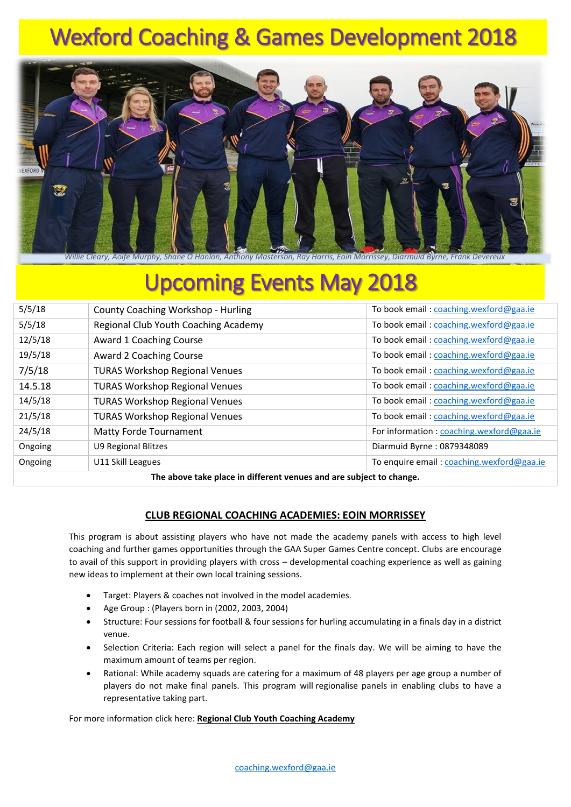# Wexford Coaching & Games Development 2018



# Upcoming Events May 2018

| The above take place in different venues and are subject to change |                                           |                                           |  |  |  |
|--------------------------------------------------------------------|-------------------------------------------|-------------------------------------------|--|--|--|
| Ongoing                                                            | U11 Skill Leagues                         | To enquire email: coaching.wexford@gaa.ie |  |  |  |
| Ongoing                                                            | U9 Regional Blitzes                       | Diarmuid Byrne: 0879348089                |  |  |  |
| 24/5/18                                                            | <b>Matty Forde Tournament</b>             | For information : coaching.wexford@gaa.ie |  |  |  |
| 21/5/18                                                            | <b>TURAS Workshop Regional Venues</b>     | To book email: coaching.wexford@gaa.ie    |  |  |  |
| 14/5/18                                                            | <b>TURAS Workshop Regional Venues</b>     | To book email: coaching.wexford@gaa.ie    |  |  |  |
| 14.5.18                                                            | <b>TURAS Workshop Regional Venues</b>     | To book email: coaching.wexford@gaa.ie    |  |  |  |
| 7/5/18                                                             | <b>TURAS Workshop Regional Venues</b>     | To book email: coaching.wexford@gaa.ie    |  |  |  |
| 19/5/18                                                            | Award 2 Coaching Course                   | To book email: coaching.wexford@gaa.ie    |  |  |  |
| 12/5/18                                                            | Award 1 Coaching Course                   | To book email: coaching.wexford@gaa.ie    |  |  |  |
| 5/5/18                                                             | Regional Club Youth Coaching Academy      | To book email: coaching.wexford@gaa.ie    |  |  |  |
| 5/5/18                                                             | <b>County Coaching Workshop - Hurling</b> | To book email: coaching.wexford@gaa.ie    |  |  |  |
|                                                                    |                                           |                                           |  |  |  |

**The above take place in different venues and are subject to change.**

## **CLUB REGIONAL COACHING ACADEMIES: EOIN MORRISSEY**

This program is about assisting players who have not made the academy panels with access to high level coaching and further games opportunities through the GAA Super Games Centre concept. Clubs are encourage to avail of this support in providing players with cross – developmental coaching experience as well as gaining new ideas to implement at their own local training sessions.

- Target: Players & coaches not involved in the model academies.
- Age Group : (Players born in (2002, 2003, 2004)
- Structure: Four sessions for football & four sessions for hurling accumulating in a finals day in a district venue.
- Selection Criteria: Each region will select a panel for the finals day. We will be aiming to have the maximum amount of teams per region.
- Rational: While academy squads are catering for a maximum of 48 players per age group a number of players do not make final panels. This program will regionalise panels in enabling clubs to have a representative taking part.

For more information click here: **[Regional Club Youth Coaching Academy](http://www.wexfordgaa.ie/2018/04/regional-club-youth-coaching-academies/)**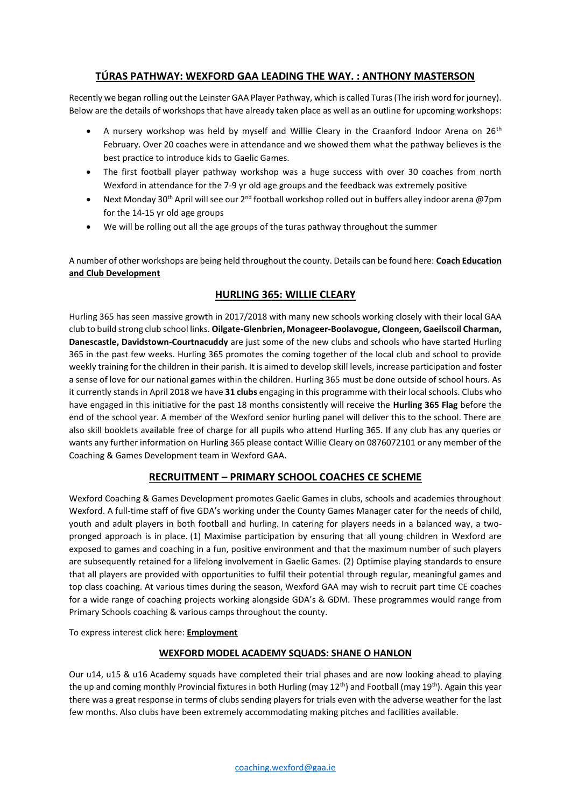# **TÚRAS PATHWAY: WEXFORD GAA LEADING THE WAY. : ANTHONY MASTERSON**

Recently we began rolling out the Leinster GAA Player Pathway, which is called Turas (The irish word for journey). Below are the details of workshops that have already taken place as well as an outline for upcoming workshops:

- A nursery workshop was held by myself and Willie Cleary in the Craanford Indoor Arena on 26<sup>th</sup> February. Over 20 coaches were in attendance and we showed them what the pathway believes is the best practice to introduce kids to Gaelic Games.
- The first football player pathway workshop was a huge success with over 30 coaches from north Wexford in attendance for the 7-9 yr old age groups and the feedback was extremely positive
- Next Monday 30<sup>th</sup> April will see our 2<sup>nd</sup> football workshop rolled out in buffers alley indoor arena @7pm for the 14-15 yr old age groups
- We will be rolling out all the age groups of the turas pathway throughout the summer

A number of other workshops are being held throughout the county. Details can be found here: **[Coach Education](http://www.wexfordgaa.ie/coaching/education/)  [and Club Development](http://www.wexfordgaa.ie/coaching/education/)**

## **HURLING 365: WILLIE CLEARY**

Hurling 365 has seen massive growth in 2017/2018 with many new schools working closely with their local GAA club to build strong club school links. **Oilgate-Glenbrien, Monageer-Boolavogue, Clongeen, Gaeilscoil Charman, Danescastle, Davidstown-Courtnacuddy** are just some of the new clubs and schools who have started Hurling 365 in the past few weeks. Hurling 365 promotes the coming together of the local club and school to provide weekly training for the children in their parish. It is aimed to develop skill levels, increase participation and foster a sense of love for our national games within the children. Hurling 365 must be done outside of school hours. As it currently stands in April 2018 we have **31 clubs** engaging in this programme with their local schools. Clubs who have engaged in this initiative for the past 18 months consistently will receive the **Hurling 365 Flag** before the end of the school year. A member of the Wexford senior hurling panel will deliver this to the school. There are also skill booklets available free of charge for all pupils who attend Hurling 365. If any club has any queries or wants any further information on Hurling 365 please contact Willie Cleary on 0876072101 or any member of the Coaching & Games Development team in Wexford GAA.

## **RECRUITMENT – PRIMARY SCHOOL COACHES CE SCHEME**

Wexford Coaching & Games Development promotes Gaelic Games in clubs, schools and academies throughout Wexford. A full-time staff of five GDA's working under the County Games Manager cater for the needs of child, youth and adult players in both football and hurling. In catering for players needs in a balanced way, a twopronged approach is in place. (1) Maximise participation by ensuring that all young children in Wexford are exposed to games and coaching in a fun, positive environment and that the maximum number of such players are subsequently retained for a lifelong involvement in Gaelic Games. (2) Optimise playing standards to ensure that all players are provided with opportunities to fulfil their potential through regular, meaningful games and top class coaching. At various times during the season, Wexford GAA may wish to recruit part time CE coaches for a wide range of coaching projects working alongside GDA's & GDM. These programmes would range from Primary Schools coaching & various camps throughout the county.

To express interest click here: **[Employment](http://www.wexfordgaa.ie/employment/)**

#### **WEXFORD MODEL ACADEMY SQUADS: SHANE O HANLON**

Our u14, u15 & u16 Academy squads have completed their trial phases and are now looking ahead to playing the up and coming monthly Provincial fixtures in both Hurling (may  $12^{th}$ ) and Football (may  $19^{th}$ ). Again this year there was a great response in terms of clubs sending players for trials even with the adverse weather for the last few months. Also clubs have been extremely accommodating making pitches and facilities available.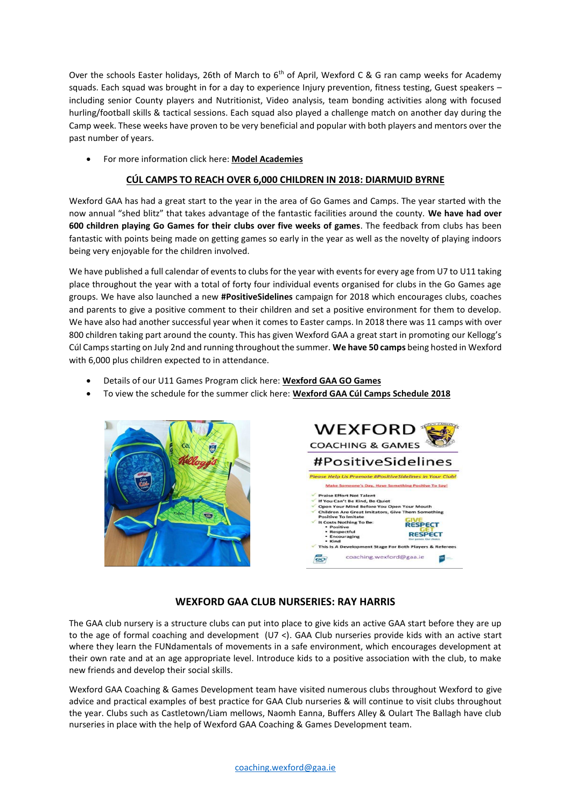Over the schools Easter holidays, 26th of March to 6<sup>th</sup> of April, Wexford C & G ran camp weeks for Academy squads. Each squad was brought in for a day to experience Injury prevention, fitness testing, Guest speakers – including senior County players and Nutritionist, Video analysis, team bonding activities along with focused hurling/football skills & tactical sessions. Each squad also played a challenge match on another day during the Camp week. These weeks have proven to be very beneficial and popular with both players and mentors over the past number of years.

For more information click here: **[Model Academies](http://www.wexfordgaa.ie/coaching/modelacadmies/)**

#### **CÚL CAMPS TO REACH OVER 6,000 CHILDREN IN 2018: DIARMUID BYRNE**

Wexford GAA has had a great start to the year in the area of Go Games and Camps. The year started with the now annual "shed blitz" that takes advantage of the fantastic facilities around the county. **We have had over 600 children playing Go Games for their clubs over five weeks of games**. The feedback from clubs has been fantastic with points being made on getting games so early in the year as well as the novelty of playing indoors being very enjoyable for the children involved.

We have published a full calendar of events to clubs for the year with events for every age from U7 to U11 taking place throughout the year with a total of forty four individual events organised for clubs in the Go Games age groups. We have also launched a new **#PositiveSidelines** campaign for 2018 which encourages clubs, coaches and parents to give a positive comment to their children and set a positive environment for them to develop. We have also had another successful year when it comes to Easter camps. In 2018 there was 11 camps with over 800 children taking part around the county. This has given Wexford GAA a great start in promoting our Kellogg's Cúl Camps starting on July 2nd and running throughout the summer. **We have 50 camps** being hosted in Wexford with 6,000 plus children expected to in attendance.

- Details of our U11 Games Program click here: **[Wexford GAA GO Games](http://www.wexfordgaa.ie/coiste-na-nog/coachinggogames/)**
- To view the schedule for the summer click here: **Wexford GAA Cúl Camps [Schedule](http://www.wexfordgaa.ie/wp-content/uploads/2018/02/Wexford-GAA-Cu%CC%81l-Camps-Schedule-2018.pdf) 2018**





#### **WEXFORD GAA CLUB NURSERIES: RAY HARRIS**

The GAA club nursery is a structure clubs can put into place to give kids an active GAA start before they are up to the age of formal coaching and development (U7 <). GAA Club nurseries provide kids with an active start where they learn the FUNdamentals of movements in a safe environment, which encourages development at their own rate and at an age appropriate level. Introduce kids to a positive association with the club, to make new friends and develop their social skills.

Wexford GAA Coaching & Games Development team have visited numerous clubs throughout Wexford to give advice and practical examples of best practice for GAA Club nurseries & will continue to visit clubs throughout the year. Clubs such as Castletown/Liam mellows, Naomh Eanna, Buffers Alley & Oulart The Ballagh have club nurseries in place with the help of Wexford GAA Coaching & Games Development team.